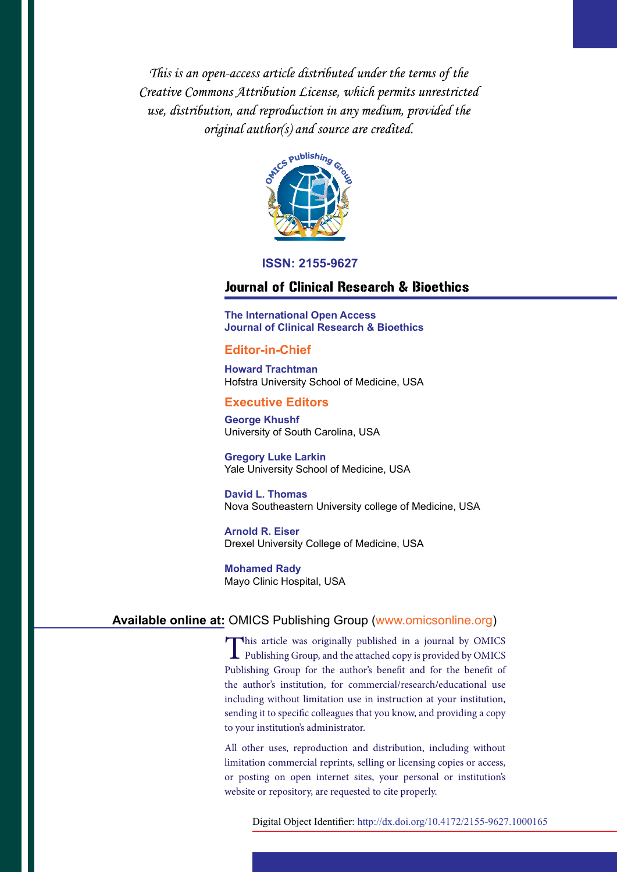This is an open-access article distributed under the terms of the Creative Commons Attribution License, which permits unrestricted use, distribution, and reproduction in any medium, provided the original author(s) and source are credited.



## **ISSN: 2155-9627**

## **Journal of Clinical Research & Bioethics**

**The International Open Access Journal of Clinical Research & Bioethics**

## **Editor-in-Chief**

**Howard Trachtman** Hofstra University School of Medicine, USA

## **Executive Editors**

**George Khushf** University of South Carolina, USA

**Gregory Luke Larkin** Yale University School of Medicine, USA

**David L. Thomas** Nova Southeastern University college of Medicine, USA

**Arnold R. Eiser** Drexel University College of Medicine, USA

**Mohamed Rady** Mayo Clinic Hospital, USA

## **Available online at:** OMICS Publishing Group (www.omicsonline.org)

This article was originally published in a journal by OMICS<br>Publishing Group, and the attached copy is provided by OMICS Publishing Group for the author's benefit and for the benefit of the author's institution, for commercial/research/educational use including without limitation use in instruction at your institution, sending it to specific colleagues that you know, and providing a copy to your institution's administrator.

All other uses, reproduction and distribution, including without limitation commercial reprints, selling or licensing copies or access, or posting on open internet sites, your personal or institution's website or repository, are requested to cite properly.

Digital Object Identifier: http://dx.doi.org/10.4172/2155-9627.1000165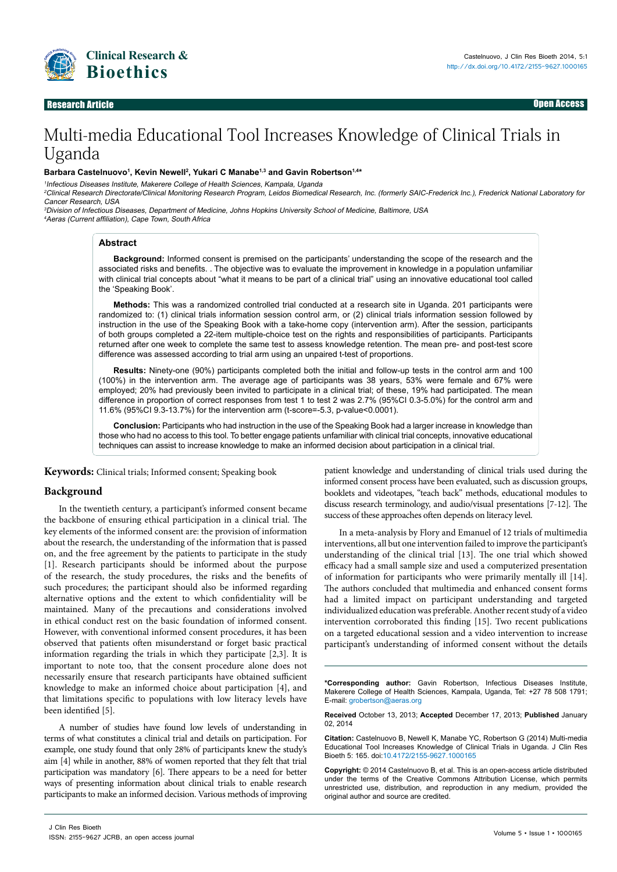

#### Research Article Open Access

# Multi-media Educational Tool Increases Knowledge of Clinical Trials in Uganda

#### Barbara Castelnuovo<sup>1</sup>, Kevin Newell<sup>2</sup>, Yukari C Manabe<sup>1,3</sup> and Gavin Robertson<sup>1,4\*</sup>

<sup>1</sup>Infectious Diseases Institute, Makerere College of Health Sciences, Kampala, Uganda

<sup>2</sup>Clinical Research Directorate/Clinical Monitoring Research Program, Leidos Biomedical Research, Inc. (formerly SAIC-Frederick Inc.), Frederick National Laboratory for Cancer Research, USA

<sup>3</sup>Division of Infectious Diseases, Department of Medicine, Johns Hopkins University School of Medicine, Baltimore, USA

<sup>4</sup>Aeras (Current affiliation), Cape Town, South Africa

#### **Abstract**

**Background:** Informed consent is premised on the participants' understanding the scope of the research and the associated risks and benefits. . The objective was to evaluate the improvement in knowledge in a population unfamiliar with clinical trial concepts about "what it means to be part of a clinical trial" using an innovative educational tool called the 'Speaking Book'.

**Methods:** This was a randomized controlled trial conducted at a research site in Uganda. 201 participants were randomized to: (1) clinical trials information session control arm, or (2) clinical trials information session followed by instruction in the use of the Speaking Book with a take-home copy (intervention arm). After the session, participants of both groups completed a 22-item multiple-choice test on the rights and responsibilities of participants. Participants returned after one week to complete the same test to assess knowledge retention. The mean pre- and post-test score difference was assessed according to trial arm using an unpaired t-test of proportions.

**Results:** Ninety-one (90%) participants completed both the initial and follow-up tests in the control arm and 100 (100%) in the intervention arm. The average age of participants was 38 years, 53% were female and 67% were employed; 20% had previously been invited to participate in a clinical trial; of these, 19% had participated. The mean difference in proportion of correct responses from test 1 to test 2 was 2.7% (95%CI 0.3-5.0%) for the control arm and 11.6% (95%CI 9.3-13.7%) for the intervention arm (t-score=-5.3, p-value<0.0001).

**Conclusion:** Participants who had instruction in the use of the Speaking Book had a larger increase in knowledge than those who had no access to this tool. To better engage patients unfamiliar with clinical trial concepts, innovative educational techniques can assist to increase knowledge to make an informed decision about participation in a clinical trial.

**Keywords:** Clinical trials; Informed consent; Speaking book

#### **Background**

In the twentieth century, a participant's informed consent became the backbone of ensuring ethical participation in a clinical trial. The key elements of the informed consent are: the provision of information about the research, the understanding of the information that is passed on, and the free agreement by the patients to participate in the study [1]. Research participants should be informed about the purpose of the research, the study procedures, the risks and the benefits of such procedures; the participant should also be informed regarding alternative options and the extent to which confidentiality will be maintained. Many of the precautions and considerations involved in ethical conduct rest on the basic foundation of informed consent. However, with conventional informed consent procedures, it has been observed that patients often misunderstand or forget basic practical information regarding the trials in which they participate [2,3]. It is important to note too, that the consent procedure alone does not necessarily ensure that research participants have obtained sufficient knowledge to make an informed choice about participation [4], and that limitations specific to populations with low literacy levels have been identified [5].

A number of studies have found low levels of understanding in terms of what constitutes a clinical trial and details on participation. For example, one study found that only 28% of participants knew the study's aim [4] while in another, 88% of women reported that they felt that trial participation was mandatory [6]. There appears to be a need for better ways of presenting information about clinical trials to enable research participants to make an informed decision. Various methods of improving

patient knowledge and understanding of clinical trials used during the informed consent process have been evaluated, such as discussion groups, booklets and videotapes, "teach back" methods, educational modules to discuss research terminology, and audio/visual presentations [7-12]. The success of these approaches often depends on literacy level.

In a meta-analysis by Flory and Emanuel of 12 trials of multimedia interventions, all but one intervention failed to improve the participant's understanding of the clinical trial [13]. The one trial which showed efficacy had a small sample size and used a computerized presentation of information for participants who were primarily mentally ill [14]. The authors concluded that multimedia and enhanced consent forms had a limited impact on participant understanding and targeted individualized education was preferable. Another recent study of a video intervention corroborated this finding [15]. Two recent publications on a targeted educational session and a video intervention to increase participant's understanding of informed consent without the details

**\*Corresponding author:** Gavin Robertson, Infectious Diseases Institute, Makerere College of Health Sciences, Kampala, Uganda, Tel: +27 78 508 1791; E-mail: grobertson@aeras.org

**Received** October 13, 2013; **Accepted** December 17, 2013; **Published** January 02, 2014

**Citation:** Castelnuovo B, Newell K, Manabe YC, Robertson G (2014) Multi-media Educational Tool Increases Knowledge of Clinical Trials in Uganda. J Clin Res Bioeth 5: 165. doi:[10.4172/2155-9627.1000165](http://dx.doi.org/10.4172/2155-9627.1000165)

**Copyright:** © 2014 Castelnuovo B, et al. This is an open-access article distributed under the terms of the Creative Commons Attribution License, which permits unrestricted use, distribution, and reproduction in any medium, provided the original author and source are credited.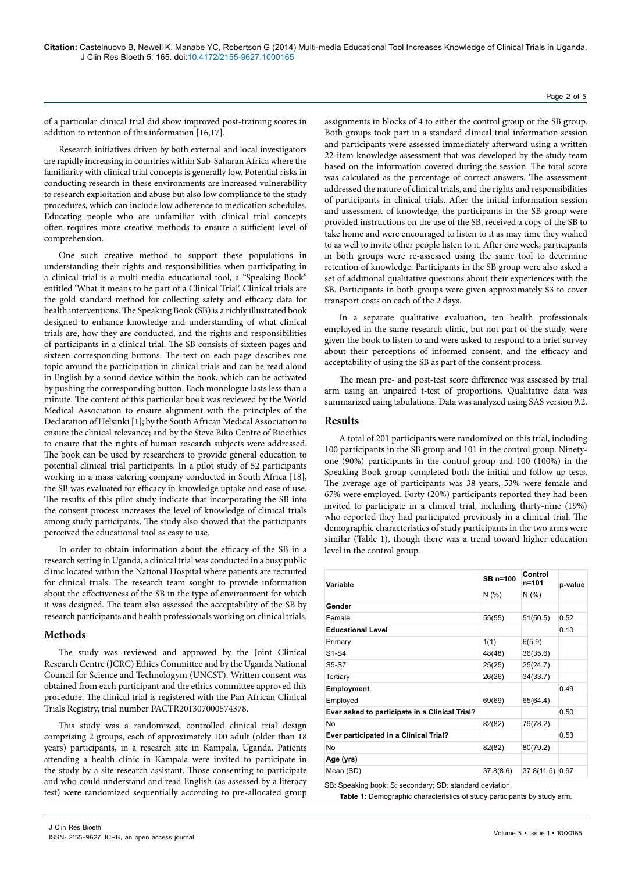Page 2 of 5

of a particular clinical trial did show improved post-training scores in addition to retention of this information [16,17].

Research initiatives driven by both external and local investigators are rapidly increasing in countries within Sub-Saharan Africa where the familiarity with clinical trial concepts is generally low. Potential risks in conducting research in these environments are increased vulnerability to research exploitation and abuse but also low compliance to the study procedures, which can include low adherence to medication schedules. Educating people who are unfamiliar with clinical trial concepts often requires more creative methods to ensure a sufficient level of comprehension.

One such creative method to support these populations in understanding their rights and responsibilities when participating in a clinical trial is a multi-media educational tool, a "Speaking Book" entitled 'What it means to be part of a Clinical Trial'. Clinical trials are the gold standard method for collecting safety and efficacy data for health interventions. The Speaking Book (SB) is a richly illustrated book designed to enhance knowledge and understanding of what clinical trials are, how they are conducted, and the rights and responsibilities of participants in a clinical trial. The SB consists of sixteen pages and sixteen corresponding buttons. The text on each page describes one topic around the participation in clinical trials and can be read aloud in English by a sound device within the book, which can be activated by pushing the corresponding button. Each monologue lasts less than a minute. The content of this particular book was reviewed by the World Medical Association to ensure alignment with the principles of the Declaration of Helsinki [1]; by the South African Medical Association to ensure the clinical relevance; and by the Steve Biko Centre of Bioethics to ensure that the rights of human research subjects were addressed. The book can be used by researchers to provide general education to potential clinical trial participants. In a pilot study of 52 participants working in a mass catering company conducted in South Africa [18], the SB was evaluated for efficacy in knowledge uptake and ease of use. The results of this pilot study indicate that incorporating the SB into the consent process increases the level of knowledge of clinical trials among study participants. The study also showed that the participants perceived the educational tool as easy to use.

In order to obtain information about the efficacy of the SB in a research setting in Uganda, a clinical trial was conducted in a busy public clinic located within the National Hospital where patients are recruited for clinical trials. The research team sought to provide information about the effectiveness of the SB in the type of environment for which it was designed. The team also assessed the acceptability of the SB by research participants and health professionals working on clinical trials.

#### **Methods**

The study was reviewed and approved by the Joint Clinical Research Centre (JCRC) Ethics Committee and by the Uganda National Council for Science and Technologym (UNCST). Written consent was obtained from each participant and the ethics committee approved this procedure. The clinical trial is registered with the Pan African Clinical Trials Registry, trial number PACTR201307000574378.

This study was a randomized, controlled clinical trial design comprising 2 groups, each of approximately 100 adult (older than 18 years) participants, in a research site in Kampala, Uganda. Patients attending a health clinic in Kampala were invited to participate in the study by a site research assistant. Those consenting to participate and who could understand and read English (as assessed by a literacy test) were randomized sequentially according to pre-allocated group

assignments in blocks of 4 to either the control group or the SB group. Both groups took part in a standard clinical trial information session and participants were assessed immediately afterward using a written 22-item knowledge assessment that was developed by the study team based on the information covered during the session. The total score was calculated as the percentage of correct answers. The assessment addressed the nature of clinical trials, and the rights and responsibilities of participants in clinical trials. After the initial information session and assessment of knowledge, the participants in the SB group were provided instructions on the use of the SB, received a copy of the SB to take home and were encouraged to listen to it as may time they wished to as well to invite other people listen to it. After one week, participants in both groups were re-assessed using the same tool to determine retention of knowledge. Participants in the SB group were also asked a set of additional qualitative questions about their experiences with the SB. Participants in both groups were given approximately \$3 to cover transport costs on each of the 2 days.

In a separate qualitative evaluation, ten health professionals employed in the same research clinic, but not part of the study, were given the book to listen to and were asked to respond to a brief survey about their perceptions of informed consent, and the efficacy and acceptability of using the SB as part of the consent process.

The mean pre- and post-test score difference was assessed by trial arm using an unpaired t-test of proportions. Qualitative data was summarized using tabulations. Data was analyzed using SAS version 9.2.

#### **Results**

A total of 201 participants were randomized on this trial, including 100 participants in the SB group and 101 in the control group. Ninetyone (90%) participants in the control group and 100 (100%) in the Speaking Book group completed both the initial and follow-up tests. The average age of participants was 38 years, 53% were female and 67% were employed. Forty (20%) participants reported they had been invited to participate in a clinical trial, including thirty-nine (19%) who reported they had participated previously in a clinical trial. The demographic characteristics of study participants in the two arms were similar (Table 1), though there was a trend toward higher education level in the control group.

| Variable                                       | SB n=100  | Control<br>n=101 | p-value |
|------------------------------------------------|-----------|------------------|---------|
|                                                | N(% )     | N(% )            |         |
| Gender                                         |           |                  |         |
| Female                                         | 55(55)    | 51(50.5)         | 0.52    |
| <b>Educational Level</b>                       |           |                  | 0.10    |
| Primary                                        | 1(1)      | 6(5.9)           |         |
| S1-S4                                          | 48(48)    | 36(35.6)         |         |
| S5-S7                                          | 25(25)    | 25(24.7)         |         |
| Tertiary                                       | 26(26)    | 34(33.7)         |         |
| <b>Employment</b>                              |           |                  | 0.49    |
| Employed                                       | 69(69)    | 65(64.4)         |         |
| Ever asked to participate in a Clinical Trial? |           |                  | 0.50    |
| No                                             | 82(82)    | 79(78.2)         |         |
| Ever participated in a Clinical Trial?         |           |                  | 0.53    |
| No                                             | 82(82)    | 80(79.2)         |         |
| Age (yrs)                                      |           |                  |         |
| Mean (SD)                                      | 37.8(8.6) | 37.8(11.5) 0.97  |         |

SB: Speaking book; S: secondary; SD: standard deviation.

**Table 1:** Demographic characteristics of study participants by study arm.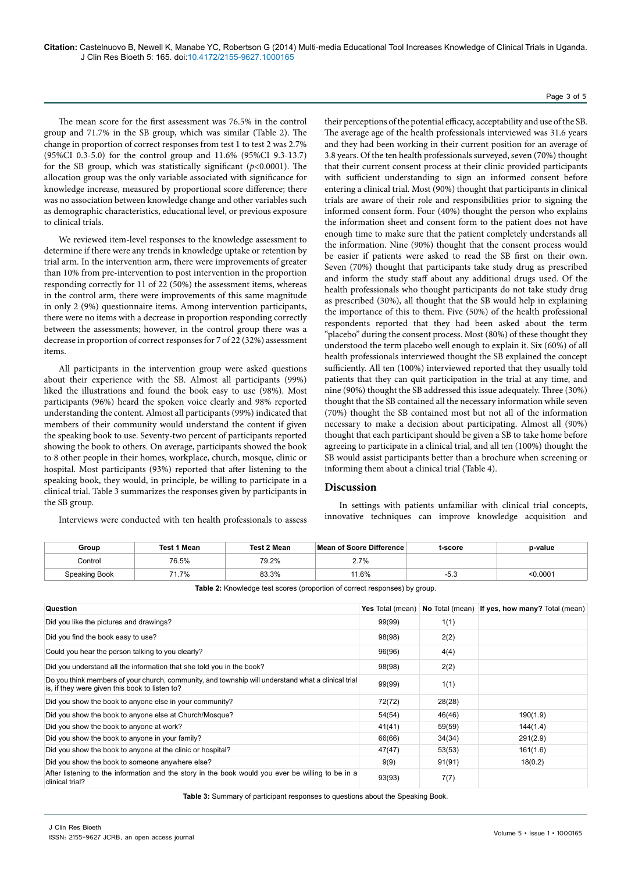#### The mean score for the first assessment was 76.5% in the control group and 71.7% in the SB group, which was similar (Table 2). The change in proportion of correct responses from test 1 to test 2 was 2.7% (95%CI 0.3-5.0) for the control group and 11.6% (95%CI 9.3-13.7) for the SB group, which was statistically significant (*p*<0.0001). The allocation group was the only variable associated with significance for knowledge increase, measured by proportional score difference; there was no association between knowledge change and other variables such as demographic characteristics, educational level, or previous exposure to clinical trials.

We reviewed item-level responses to the knowledge assessment to determine if there were any trends in knowledge uptake or retention by trial arm. In the intervention arm, there were improvements of greater than 10% from pre-intervention to post intervention in the proportion responding correctly for 11 of 22 (50%) the assessment items, whereas in the control arm, there were improvements of this same magnitude in only 2 (9%) questionnaire items. Among intervention participants, there were no items with a decrease in proportion responding correctly between the assessments; however, in the control group there was a decrease in proportion of correct responses for 7 of 22 (32%) assessment items.

All participants in the intervention group were asked questions about their experience with the SB. Almost all participants (99%) liked the illustrations and found the book easy to use (98%). Most participants (96%) heard the spoken voice clearly and 98% reported understanding the content. Almost all participants (99%) indicated that members of their community would understand the content if given the speaking book to use. Seventy-two percent of participants reported showing the book to others. On average, participants showed the book to 8 other people in their homes, workplace, church, mosque, clinic or hospital. Most participants (93%) reported that after listening to the speaking book, they would, in principle, be willing to participate in a clinical trial. Table 3 summarizes the responses given by participants in the SB group.

Interviews were conducted with ten health professionals to assess

their perceptions of the potential efficacy, acceptability and use of the SB. The average age of the health professionals interviewed was 31.6 years and they had been working in their current position for an average of 3.8 years. Of the ten health professionals surveyed, seven (70%) thought that their current consent process at their clinic provided participants with sufficient understanding to sign an informed consent before entering a clinical trial. Most (90%) thought that participants in clinical trials are aware of their role and responsibilities prior to signing the informed consent form. Four (40%) thought the person who explains the information sheet and consent form to the patient does not have enough time to make sure that the patient completely understands all the information. Nine (90%) thought that the consent process would be easier if patients were asked to read the SB first on their own. Seven (70%) thought that participants take study drug as prescribed and inform the study staff about any additional drugs used. Of the health professionals who thought participants do not take study drug as prescribed (30%), all thought that the SB would help in explaining the importance of this to them. Five (50%) of the health professional respondents reported that they had been asked about the term "placebo" during the consent process. Most (80%) of these thought they understood the term placebo well enough to explain it. Six (60%) of all health professionals interviewed thought the SB explained the concept sufficiently. All ten (100%) interviewed reported that they usually told patients that they can quit participation in the trial at any time, and nine (90%) thought the SB addressed this issue adequately. Three (30%) thought that the SB contained all the necessary information while seven (70%) thought the SB contained most but not all of the information necessary to make a decision about participating. Almost all (90%) thought that each participant should be given a SB to take home before agreeing to participate in a clinical trial, and all ten (100%) thought the SB would assist participants better than a brochure when screening or informing them about a clinical trial (Table 4).

### **Discussion**

In settings with patients unfamiliar with clinical trial concepts, innovative techniques can improve knowledge acquisition and

| Group         | Test 1 Mean | Test 2 Mean | Mean of Score Difference | t-score | p-value  |
|---------------|-------------|-------------|--------------------------|---------|----------|
| Control       | 76.5%       | 79.2%       | 2.7%                     |         |          |
| Speaking Book | 71.7%       | 83.3%       | 11.6%                    | $-5.3$  | < 0.0001 |

| Table 2: Knowledge test scores (proportion of correct responses) by group. |  |
|----------------------------------------------------------------------------|--|
|                                                                            |  |

| Question                                                                                                                                             |        |        | Yes Total (mean) No Total (mean) If yes, how many? Total (mean) |
|------------------------------------------------------------------------------------------------------------------------------------------------------|--------|--------|-----------------------------------------------------------------|
| Did you like the pictures and drawings?                                                                                                              | 99(99) | 1(1)   |                                                                 |
| Did you find the book easy to use?                                                                                                                   | 98(98) | 2(2)   |                                                                 |
| Could you hear the person talking to you clearly?                                                                                                    | 96(96) | 4(4)   |                                                                 |
| Did you understand all the information that she told you in the book?                                                                                | 98(98) | 2(2)   |                                                                 |
| Do you think members of your church, community, and township will understand what a clinical trial<br>is, if they were given this book to listen to? | 99(99) | 1(1)   |                                                                 |
| Did you show the book to anyone else in your community?                                                                                              | 72(72) | 28(28) |                                                                 |
| Did you show the book to anyone else at Church/Mosque?                                                                                               | 54(54) | 46(46) | 190(1.9)                                                        |
| Did you show the book to anyone at work?                                                                                                             | 41(41) | 59(59) | 144(1.4)                                                        |
| Did you show the book to anyone in your family?                                                                                                      | 66(66) | 34(34) | 291(2.9)                                                        |
| Did you show the book to anyone at the clinic or hospital?                                                                                           | 47(47) | 53(53) | 161(1.6)                                                        |
| Did you show the book to someone anywhere else?                                                                                                      | 9(9)   | 91(91) | 18(0.2)                                                         |
| After listening to the information and the story in the book would you ever be willing to be in a<br>clinical trial?                                 | 93(93) | 7(7)   |                                                                 |

**Table 3:** Summary of participant responses to questions about the Speaking Book.

#### Page 3 of 5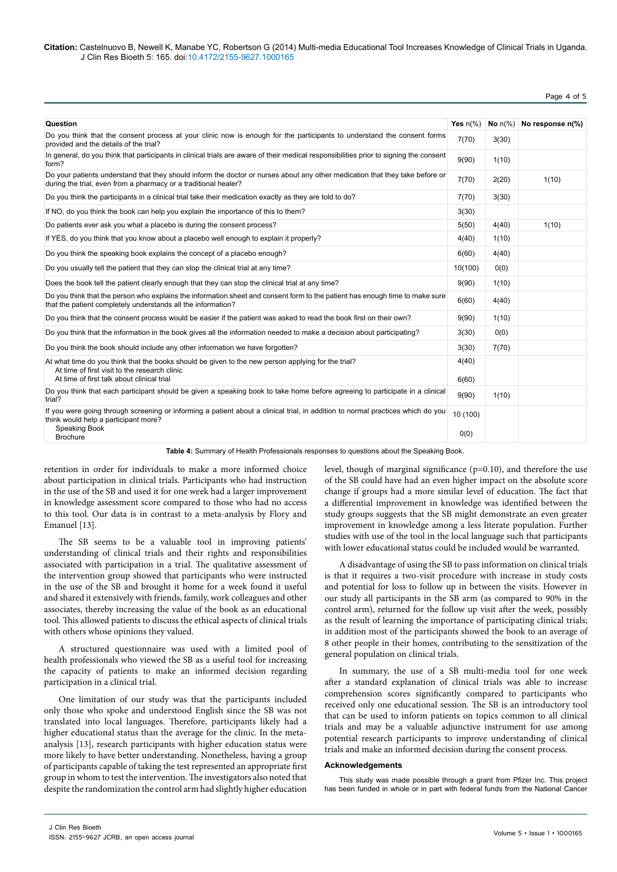#### **Citation:** Castelnuovo B, Newell K, Manabe YC, Robertson G (2014) Multi-media Educational Tool Increases Knowledge of Clinical Trials in Uganda. J Clin Res Bioeth 5: 165. doi[:10.4172/2155-9627.1000165](http://dx.doi.org/10.4172/2155-9627.1000165)

#### Page 4 of 5

| Question                                                                                                                                                                                                    | Yes $n(\%)$      |       | No $n(\%)$ No response $n(\%)$ |
|-------------------------------------------------------------------------------------------------------------------------------------------------------------------------------------------------------------|------------------|-------|--------------------------------|
| Do you think that the consent process at your clinic now is enough for the participants to understand the consent forms<br>provided and the details of the trial?                                           | 7(70)            | 3(30) |                                |
| In general, do you think that participants in clinical trials are aware of their medical responsibilities prior to signing the consent<br>form?                                                             | 9(90)            | 1(10) |                                |
| Do your patients understand that they should inform the doctor or nurses about any other medication that they take before or<br>during the trial, even from a pharmacy or a traditional healer?             | 7(70)            | 2(20) | 1(10)                          |
| Do you think the participants in a clinical trial take their medication exactly as they are told to do?                                                                                                     | 7(70)            | 3(30) |                                |
| If NO, do you think the book can help you explain the importance of this to them?                                                                                                                           | 3(30)            |       |                                |
| Do patients ever ask you what a placebo is during the consent process?                                                                                                                                      | 5(50)            | 4(40) | 1(10)                          |
| If YES, do you think that you know about a placebo well enough to explain it properly?                                                                                                                      | 4(40)            | 1(10) |                                |
| Do you think the speaking book explains the concept of a placebo enough?                                                                                                                                    | 6(60)            | 4(40) |                                |
| Do you usually tell the patient that they can stop the clinical trial at any time?                                                                                                                          | 10(100)          | 0(0)  |                                |
| Does the book tell the patient clearly enough that they can stop the clinical trial at any time?                                                                                                            | 9(90)            | 1(10) |                                |
| Do you think that the person who explains the information sheet and consent form to the patient has enough time to make sure<br>that the patient completely understands all the information?                | 6(60)            | 4(40) |                                |
| Do you think that the consent process would be easier if the patient was asked to read the book first on their own?                                                                                         | 9(90)            | 1(10) |                                |
| Do you think that the information in the book gives all the information needed to make a decision about participating?                                                                                      | 3(30)            | 0(0)  |                                |
| Do you think the book should include any other information we have forgotten?                                                                                                                               | 3(30)            | 7(70) |                                |
| At what time do you think that the books should be given to the new person applying for the trial?<br>At time of first visit to the research clinic<br>At time of first talk about clinical trial           | 4(40)<br>6(60)   |       |                                |
| Do you think that each participant should be given a speaking book to take home before agreeing to participate in a clinical<br>trial?                                                                      | 9(90)            | 1(10) |                                |
| If you were going through screening or informing a patient about a clinical trial, in addition to normal practices which do you<br>think would help a participant more?<br>Speaking Book<br><b>Brochure</b> | 10 (100)<br>0(0) |       |                                |

**Table 4:** Summary of Health Professionals responses to questions about the Speaking Book.

retention in order for individuals to make a more informed choice about participation in clinical trials. Participants who had instruction in the use of the SB and used it for one week had a larger improvement in knowledge assessment score compared to those who had no access to this tool. Our data is in contrast to a meta-analysis by Flory and Emanuel [13].

The SB seems to be a valuable tool in improving patients' understanding of clinical trials and their rights and responsibilities associated with participation in a trial. The qualitative assessment of the intervention group showed that participants who were instructed in the use of the SB and brought it home for a week found it useful and shared it extensively with friends, family, work colleagues and other associates, thereby increasing the value of the book as an educational tool. This allowed patients to discuss the ethical aspects of clinical trials with others whose opinions they valued.

A structured questionnaire was used with a limited pool of health professionals who viewed the SB as a useful tool for increasing the capacity of patients to make an informed decision regarding participation in a clinical trial.

One limitation of our study was that the participants included only those who spoke and understood English since the SB was not translated into local languages. Therefore, participants likely had a higher educational status than the average for the clinic. In the metaanalysis [13], research participants with higher education status were more likely to have better understanding. Nonetheless, having a group of participants capable of taking the test represented an appropriate first group in whom to test the intervention. The investigators also noted that despite the randomization the control arm had slightly higher education

level, though of marginal significance (p=0.10), and therefore the use of the SB could have had an even higher impact on the absolute score change if groups had a more similar level of education. The fact that a differential improvement in knowledge was identified between the study groups suggests that the SB might demonstrate an even greater improvement in knowledge among a less literate population. Further studies with use of the tool in the local language such that participants with lower educational status could be included would be warranted.

A disadvantage of using the SB to pass information on clinical trials is that it requires a two-visit procedure with increase in study costs and potential for loss to follow up in between the visits. However in our study all participants in the SB arm (as compared to 90% in the control arm), returned for the follow up visit after the week, possibly as the result of learning the importance of participating clinical trials; in addition most of the participants showed the book to an average of 8 other people in their homes, contributing to the sensitization of the general population on clinical trials.

In summary, the use of a SB multi-media tool for one week after a standard explanation of clinical trials was able to increase comprehension scores significantly compared to participants who received only one educational session. The SB is an introductory tool that can be used to inform patients on topics common to all clinical trials and may be a valuable adjunctive instrument for use among potential research participants to improve understanding of clinical trials and make an informed decision during the consent process.

#### **Acknowledgements**

This study was made possible through a grant from Pfizer Inc. This project has been funded in whole or in part with federal funds from the National Cancer